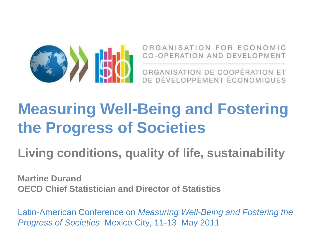

ORGANISATION FOR ECONOMIC **CO-OPERATION AND DEVELOPMENT** 

ORGANISATION DE COOPÉRATION ET DE DÉVELOPPEMENT ÉCONOMIQUES

## **Measuring Well-Being and Fostering the Progress of Societies**

**Living conditions, quality of life, sustainability** 

**Martine Durand OECD Chief Statistician and Director of Statistics**

Latin-American Conference on *Measuring Well-Being and Fostering the Progress of Societies*, Mexico City, 11-13 May 2011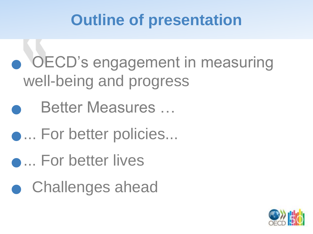## **Outline of presentation**

 OECD"s engagement in measuring well-being and progress

Better Measures …

**.... For better policies...** 

**.... For better lives** 

**• Challenges ahead** 

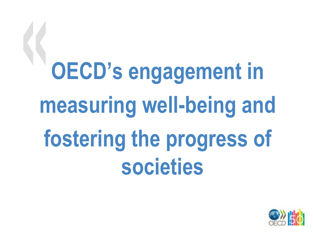**OECD's engagement in measuring well-being and fostering the progress of societies**

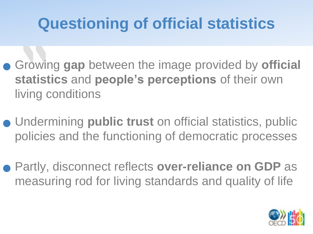## **Questioning of official statistics**

- Growing **gap** between the image provided by **official statistics** and **people's perceptions** of their own living conditions
- Undermining **public trust** on official statistics, public policies and the functioning of democratic processes
- Partly, disconnect reflects **over-reliance on GDP** as measuring rod for living standards and quality of life

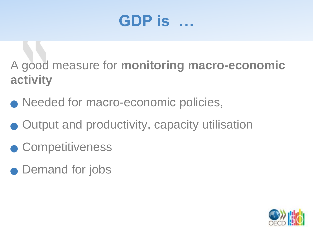## **GDP is …**

A good measure for **monitoring macro-economic activity**

- Needed for macro-economic policies,
- Output and productivity, capacity utilisation
- **Competitiveness**
- Demand for jobs

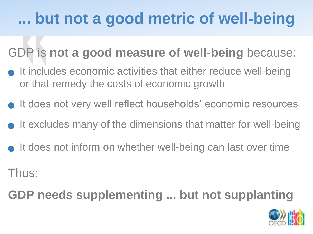## **... but not a good metric of well-being**

#### GDP is **not a good measure of well-being** because:

- $\bullet$  It includes economic activities that either reduce well-being or that remedy the costs of economic growth
- It does not very well reflect households' economic resources
- $\bullet$  It excludes many of the dimensions that matter for well-being
- It does not inform on whether well-being can last over time

Thus:

**GDP needs supplementing ... but not supplanting**

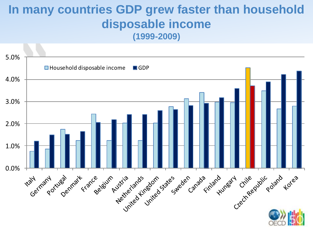#### **In many countries GDP grew faster than household disposable income (1999-2009)**

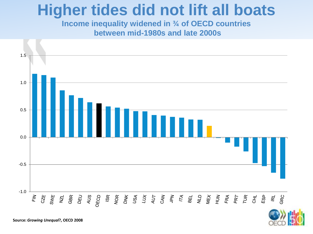### **Higher tides did not lift all boats**

**Income inequality widened in ¾ of OECD countries between mid-1980s and late 2000s** 





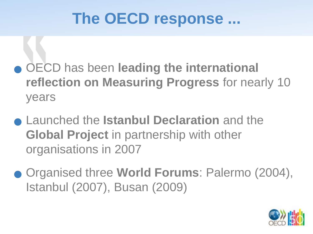## **The OECD response ...**

- OECD has been **leading the international reflection on Measuring Progress** for nearly 10 years
- Launched the **Istanbul Declaration** and the **Global Project** in partnership with other organisations in 2007
- Organised three **World Forums**: Palermo (2004), Istanbul (2007), Busan (2009)

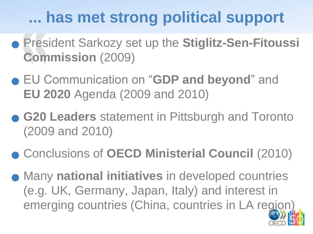## **... has met strong political support**

- President Sarkozy set up the **Stiglitz-Sen-Fitoussi Commission** (2009)
- EU Communication on "**GDP and beyond**" and **EU 2020** Agenda (2009 and 2010)
- **G20 Leaders** statement in Pittsburgh and Toronto (2009 and 2010)
- Conclusions of **OECD Ministerial Council** (2010)
- Many **national initiatives** in developed countries (e.g. UK, Germany, Japan, Italy) and interest in emerging countries (China, countries in LA region)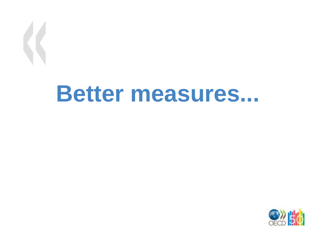## **Better measures...**

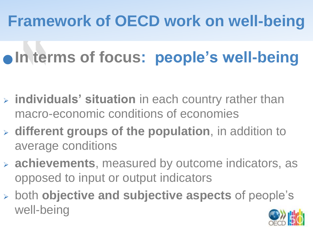## **Framework of OECD work on well-being**

## $\bullet$  **In terms of focus: people's well-being**

- **individuals' situation** in each country rather than macro-economic conditions of economies
- **different groups of the population**, in addition to average conditions
- **achievements**, measured by outcome indicators, as opposed to input or output indicators
- both **objective and subjective aspects** of people"s well-being

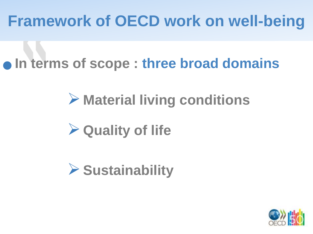## **Framework of OECD work on well-being**

**In terms of scope : three broad domains**

## **Material living conditions**

## **Quality of life**



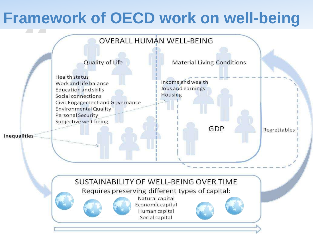## **Framework of OECD work on well-being**

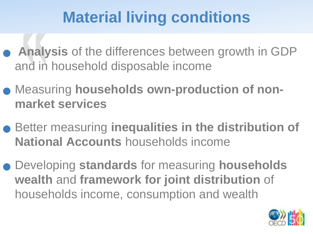## **Material living conditions**

- **Analysis** of the differences between growth in GDP and in household disposable income
- Measuring **households own-production of nonmarket services**
- Better measuring **inequalities in the distribution of National Accounts** households income
- Developing **standards** for measuring **households wealth** and **framework for joint distribution** of households income, consumption and wealth

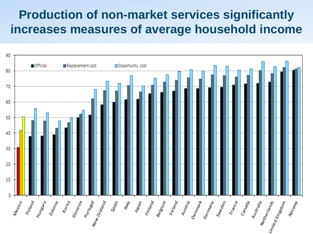#### **Production of non-market services significantly increases measures of average household income**

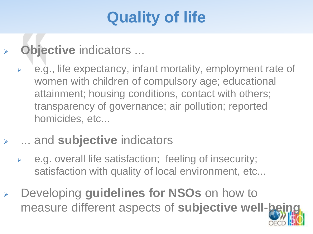## **Quality of life**

- **Objective** indicators ...
	- e.g., life expectancy, infant mortality, employment rate of women with children of compulsory age; educational attainment; housing conditions, contact with others; transparency of governance; air pollution; reported homicides, etc...
- ... and **subjective** indicators
	- e.g. overall life satisfaction; feeling of insecurity; satisfaction with quality of local environment, etc...
- Developing **guidelines for NSOs** on how to measure different aspects of **subjective well-being**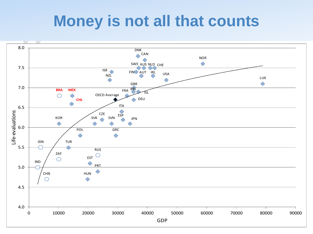## **Money is not all that counts**

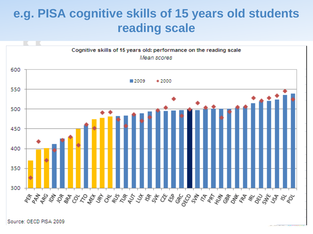#### **e.g. PISA cognitive skills of 15 years old students reading scale**



Source: OECD PISA 2009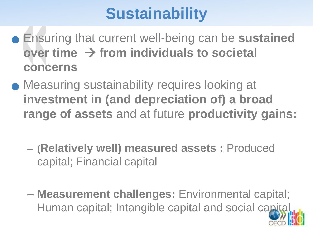## **Sustainability**

- Ensuring that current well-being can be **sustained over time from individuals to societal concerns**
- **Measuring sustainability requires looking at investment in (and depreciation of) a broad range of assets** and at future **productivity gains:** 
	- **(Relatively well) measured assets :** Produced capital; Financial capital
	- **Measurement challenges:** Environmental capital; Human capital; Intangible capital and social capital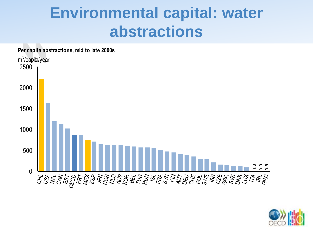## **Environmental capital: water abstractions**



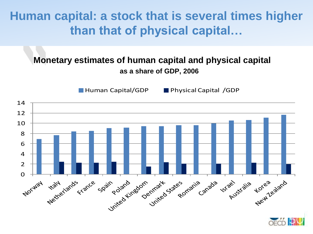**Human capital: a stock that is several times higher than that of physical capital…**

#### **Monetary estimates of human capital and physical capital as a share of GDP, 2006**

**Human Capital/GDP** Physical Capital /GDP



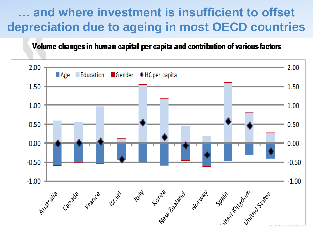#### and where investment is insufficient to offset **depreciation due to ageing in most OECD countries**

Volume changes in human capital per capita and contribution of various factors

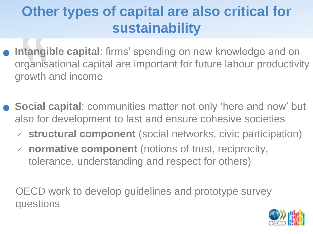## **Other types of capital are also critical for sustainability**

- **Intangible capital:** firms' spending on new knowledge and on organisational capital are important for future labour productivity growth and income
- **Social capital**: communities matter not only "here and now" but also for development to last and ensure cohesive societies
	- **structural component** (social networks, civic participation)
	- **normative component** (notions of trust, reciprocity, tolerance, understanding and respect for others)

OECD work to develop guidelines and prototype survey questions

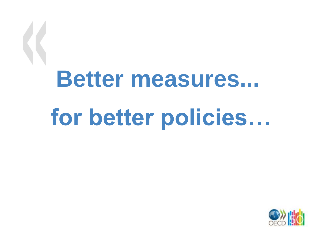# **Better measures... for better policies…**

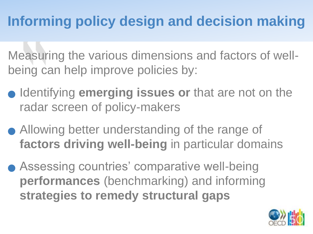## **Informing policy design and decision making**

Measuring the various dimensions and factors of wellbeing can help improve policies by:

- **Identifying emerging issues or that are not on the** radar screen of policy-makers
- Allowing better understanding of the range of **factors driving well-being** in particular domains
- Assessing countries' comparative well-being **performances** (benchmarking) and informing **strategies to remedy structural gaps**

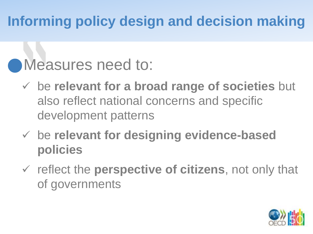## **Informing policy design and decision making**

## **Measures need to:**

- be **relevant for a broad range of societies** but also reflect national concerns and specific development patterns
- be **relevant for designing evidence-based policies**
- reflect the **perspective of citizens**, not only that of governments

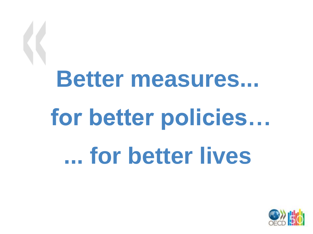# **Better measures... for better policies… ... for better lives**

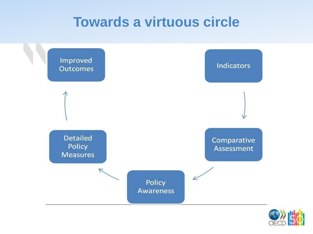#### **Towards a virtuous circle**



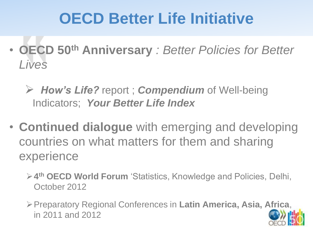## **OECD Better Life Initiative**

- **OECD 50th Anniversary** *: Better Policies for Better Lives* 
	- *How's Life?* report ; *Compendium* of Well-being Indicators; *Your Better Life Index*
- **Continued dialogue** with emerging and developing countries on what matters for them and sharing experience
	- **4 th OECD World Forum** "Statistics, Knowledge and Policies, Delhi, October 2012
	- Preparatory Regional Conferences in **Latin America, Asia, Africa**, in 2011 and 2012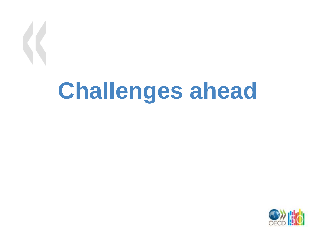# **Challenges ahead**

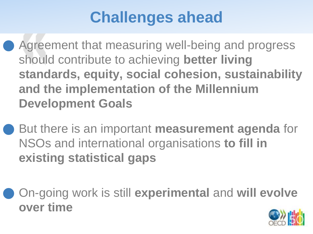## **Challenges ahead**

 Agreement that measuring well-being and progress should contribute to achieving **better living standards, equity, social cohesion, sustainability and the implementation of the Millennium Development Goals**

 But there is an important **measurement agenda** for NSOs and international organisations **to fill in existing statistical gaps** 

 On-going work is still **experimental** and **will evolve over time**

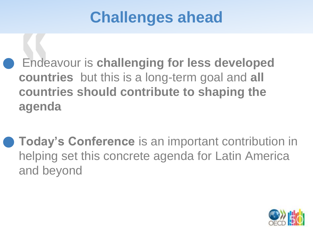## **Challenges ahead**

 Endeavour is **challenging for less developed countries** but this is a long-term goal and **all countries should contribute to shaping the agenda** 

 **Today's Conference** is an important contribution in helping set this concrete agenda for Latin America and beyond